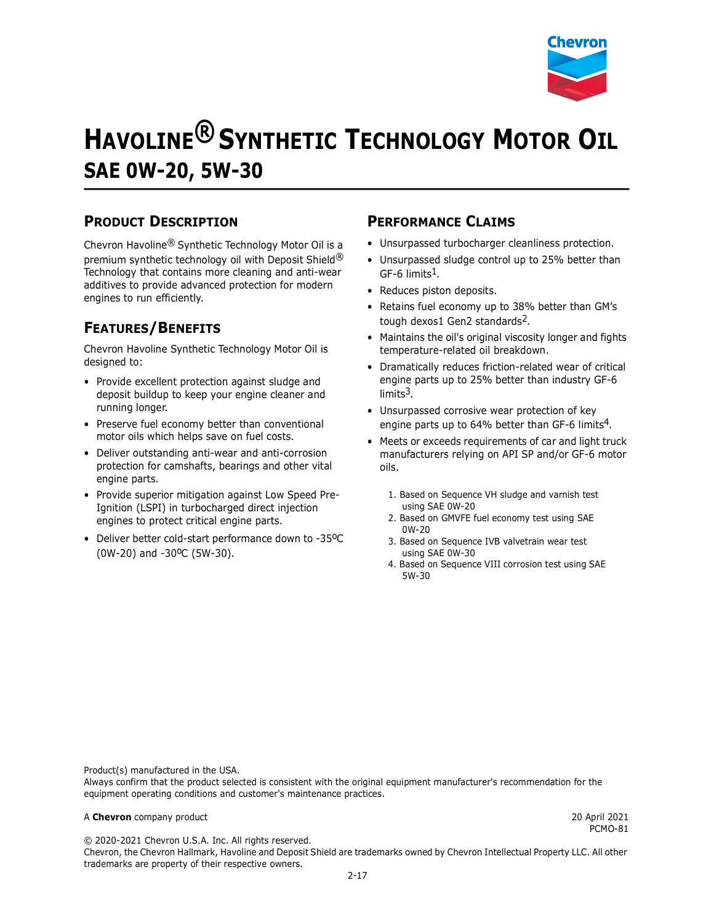

# **HAVOLINE® SYNTHETIC TECHNOLOGY MOTOR OIL SAE 0W-20, 5W-30**

## **PRODUCT DESCRIPTION**

Chevron Havoline® Synthetic Technology Motor Oil is a premium synthetic technology oil with Deposit Shield® Technology that contains more cleaning and anti-wear additives to provide advanced protection for modern engines to run efficiently.

# **FEATURES/BENEFITS**

Chevron Havoline Synthetic Technology Motor Oil is designed to:

- Provide excellent protection against sludge and deposit buildup to keep your engine cleaner and running longer.
- Preserve fuel economy better than conventional motor oils which helps save on fuel costs.
- Deliver outstanding anti-wear and anti-corrosion protection for camshafts, bearings and other vital engine parts.
- Provide superior mitigation against Low Speed Pre-Ignition (LSPI) in turbocharged direct injection engines to protect critical engine parts.
- Deliver better cold-start performance down to -35°C (0W-20) and -30<sup>o</sup>C (5W-30).

#### **PERFORMANCE CLAIMS**

- Unsurpassed turbocharger cleanliness protection.
- Unsurpassed sludge control up to 25% better than  $GF-6$  limits<sup>1</sup>.
- Reduces piston deposits.
- Retains fuel economy up to 38% better than GM's tough dexos1 Gen2 standards<sup>2</sup>.
- Maintains the oil's original viscosity longer and fights temperature-related oil breakdown.
- Dramatically reduces friction-related wear of critical engine parts up to 25% better than industry GF-6 limits3.
- Unsurpassed corrosive wear protection of key engine parts up to 64% better than GF-6 limits<sup>4</sup>.
- Meets or exceeds requirements of car and light truck manufacturers relying on API SP and/or GF-6 motor oils.
	- 1. Based on Sequence VH sludge and varnish test using SAE 0W-20
	- 2. Based on GMVFE fuel economy test using SAE 0W-20
	- 3. Based on Sequence IVB valvetrain wear test using SAE 0W-30
	- 4. Based on Sequence VIII corrosion test using SAE 5W-30

Product(s) manufactured in the USA.

Always confirm that the product selected is consistent with the original equipment manufacturer's recommendation for the equipment operating conditions and customer's maintenance practices.

#### A **Chevron** company product 20 April 2021

PCMO-81

© 2020-2021 Chevron U.S.A. Inc. All rights reserved.

Chevron, the Chevron Hallmark, Havoline and Deposit Shield are trademarks owned by Chevron Intellectual Property LLC. All other trademarks are property of their respective owners.